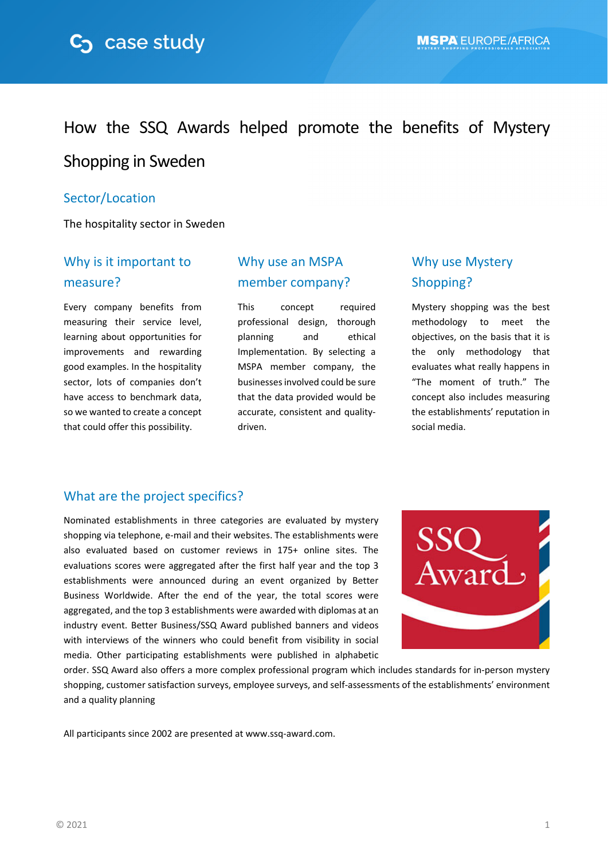

# How the SSQ Awards helped promote the benefits of Mystery

## Shopping in Sweden

#### Sector/Location

The hospitality sector in Sweden

### Why is it important to measure?

Every company benefits from measuring their service level, learning about opportunities for improvements and rewarding good examples. In the hospitality sector, lots of companies don't have access to benchmark data, so we wanted to create a concept that could offer this possibility.

### Why use an MSPA member company?

This concept required professional design, thorough planning and ethical Implementation. By selecting a MSPA member company, the businessesinvolved could be sure that the data provided would be accurate, consistent and quality‐ driven.

# Why use Mystery Shopping?

Mystery shopping was the best methodology to meet the objectives, on the basis that it is the only methodology that evaluates what really happens in "The moment of truth." The concept also includes measuring the establishments' reputation in social media.

#### What are the project specifics?

Nominated establishments in three categories are evaluated by mystery shopping via telephone, e‐mail and their websites. The establishments were also evaluated based on customer reviews in 175+ online sites. The evaluations scores were aggregated after the first half year and the top 3 establishments were announced during an event organized by Better Business Worldwide. After the end of the year, the total scores were aggregated, and the top 3 establishments were awarded with diplomas at an industry event. Better Business/SSQ Award published banners and videos with interviews of the winners who could benefit from visibility in social media. Other participating establishments were published in alphabetic



order. SSQ Award also offers a more complex professional program which includes standards for in‐person mystery shopping, customer satisfaction surveys, employee surveys, and self‐assessments of the establishments' environment and a quality planning

All participants since 2002 are presented at www.ssq-award.com.